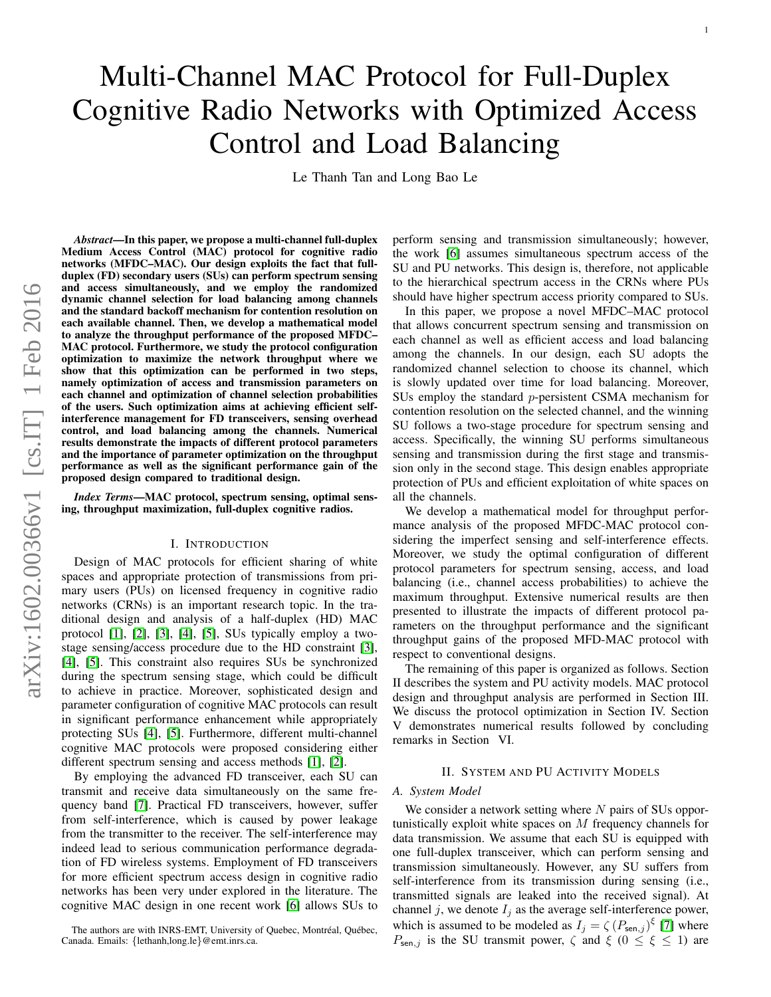# Multi-Channel MAC Protocol for Full-Duplex Cognitive Radio Networks with Optimized Access Control and Load Balancing

Le Thanh Tan and Long Bao Le

*Abstract*—In this paper, we propose a multi-channel full-duplex Medium Access Control (MAC) protocol for cognitive radio networks (MFDC–MAC). Our design exploits the fact that fullduplex (FD) secondary users (SUs) can perform spectrum sensing and access simultaneously, and we employ the randomized dynamic channel selection for load balancing among channels and the standard backoff mechanism for contention resolution on each available channel. Then, we develop a mathematical model to analyze the throughput performance of the proposed MFDC– MAC protocol. Furthermore, we study the protocol configuration optimization to maximize the network throughput where we show that this optimization can be performed in two steps, namely optimization of access and transmission parameters on each channel and optimization of channel selection probabilities of the users. Such optimization aims at achieving efficient selfinterference management for FD transceivers, sensing overhead control, and load balancing among the channels. Numerical results demonstrate the impacts of different protocol parameters and the importance of parameter optimization on the throughput performance as well as the significant performance gain of the proposed design compared to traditional design.

*Index Terms*—MAC protocol, spectrum sensing, optimal sensing, throughput maximization, full-duplex cognitive radios.

#### I. INTRODUCTION

Design of MAC protocols for efficient sharing of white spaces and appropriate protection of transmissions from primary users (PUs) on licensed frequency in cognitive radio networks (CRNs) is an important research topic. In the traditional design and analysis of a half-duplex (HD) MAC protocol [\[1\]](#page-6-0), [\[2\]](#page-6-1), [\[3\]](#page-6-2), [\[4\]](#page-6-3), [\[5\]](#page-6-4), SUs typically employ a twostage sensing/access procedure due to the HD constraint [\[3\]](#page-6-2), [\[4\]](#page-6-3), [\[5\]](#page-6-4). This constraint also requires SUs be synchronized during the spectrum sensing stage, which could be difficult to achieve in practice. Moreover, sophisticated design and parameter configuration of cognitive MAC protocols can result in significant performance enhancement while appropriately protecting SUs [\[4\]](#page-6-3), [\[5\]](#page-6-4). Furthermore, different multi-channel cognitive MAC protocols were proposed considering either different spectrum sensing and access methods [\[1\]](#page-6-0), [\[2\]](#page-6-1).

By employing the advanced FD transceiver, each SU can transmit and receive data simultaneously on the same frequency band [\[7\]](#page-6-5). Practical FD transceivers, however, suffer from self-interference, which is caused by power leakage from the transmitter to the receiver. The self-interference may indeed lead to serious communication performance degradation of FD wireless systems. Employment of FD transceivers for more efficient spectrum access design in cognitive radio networks has been very under explored in the literature. The cognitive MAC design in one recent work [\[6\]](#page-6-6) allows SUs to perform sensing and transmission simultaneously; however, the work [\[6\]](#page-6-6) assumes simultaneous spectrum access of the SU and PU networks. This design is, therefore, not applicable to the hierarchical spectrum access in the CRNs where PUs should have higher spectrum access priority compared to SUs.

In this paper, we propose a novel MFDC–MAC protocol that allows concurrent spectrum sensing and transmission on each channel as well as efficient access and load balancing among the channels. In our design, each SU adopts the randomized channel selection to choose its channel, which is slowly updated over time for load balancing. Moreover, SUs employ the standard p-persistent CSMA mechanism for contention resolution on the selected channel, and the winning SU follows a two-stage procedure for spectrum sensing and access. Specifically, the winning SU performs simultaneous sensing and transmission during the first stage and transmission only in the second stage. This design enables appropriate protection of PUs and efficient exploitation of white spaces on all the channels.

We develop a mathematical model for throughput performance analysis of the proposed MFDC-MAC protocol considering the imperfect sensing and self-interference effects. Moreover, we study the optimal configuration of different protocol parameters for spectrum sensing, access, and load balancing (i.e., channel access probabilities) to achieve the maximum throughput. Extensive numerical results are then presented to illustrate the impacts of different protocol parameters on the throughput performance and the significant throughput gains of the proposed MFD-MAC protocol with respect to conventional designs.

The remaining of this paper is organized as follows. Section II describes the system and PU activity models. MAC protocol design and throughput analysis are performed in Section III. We discuss the protocol optimization in Section IV. Section V demonstrates numerical results followed by concluding remarks in Section VI.

### II. SYSTEM AND PU ACTIVITY MODELS

# *A. System Model*

We consider a network setting where  $N$  pairs of SUs opportunistically exploit white spaces on M frequency channels for data transmission. We assume that each SU is equipped with one full-duplex transceiver, which can perform sensing and transmission simultaneously. However, any SU suffers from self-interference from its transmission during sensing (i.e., transmitted signals are leaked into the received signal). At channel j, we denote  $I_j$  as the average self-interference power, which is assumed to be modeled as  $I_j = \zeta (P_{\text{sen},j})^{\xi}$  [\[7\]](#page-6-5) where  $P_{\text{sen},j}$  is the SU transmit power,  $\zeta$  and  $\xi$  ( $0 \le \xi \le 1$ ) are

The authors are with INRS-EMT, University of Quebec, Montréal, Québec, Canada. Emails: {lethanh,long.le}@emt.inrs.ca.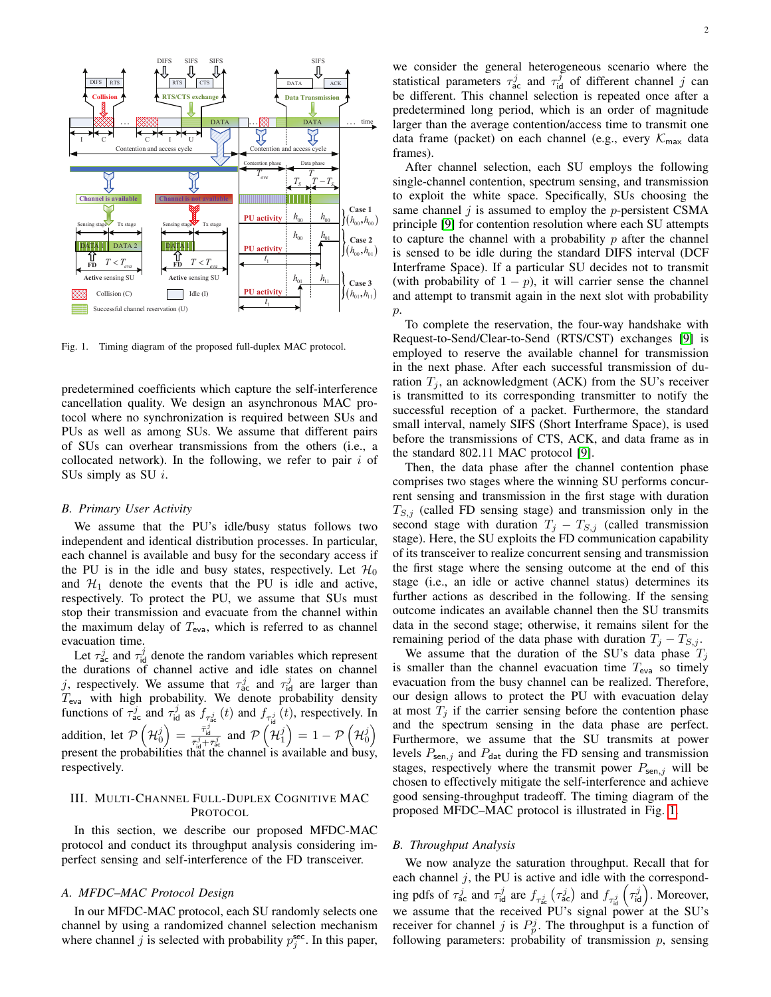

<span id="page-1-0"></span>Fig. 1. Timing diagram of the proposed full-duplex MAC protocol.

predetermined coefficients which capture the self-interference cancellation quality. We design an asynchronous MAC protocol where no synchronization is required between SUs and PUs as well as among SUs. We assume that different pairs of SUs can overhear transmissions from the others (i.e., a collocated network). In the following, we refer to pair  $i$  of SUs simply as SU  $i$ .

### <span id="page-1-1"></span>*B. Primary User Activity*

We assume that the PU's idle/busy status follows two independent and identical distribution processes. In particular, each channel is available and busy for the secondary access if the PU is in the idle and busy states, respectively. Let  $\mathcal{H}_0$ and  $\mathcal{H}_1$  denote the events that the PU is idle and active, respectively. To protect the PU, we assume that SUs must stop their transmission and evacuate from the channel within the maximum delay of  $T_{\text{eva}}$ , which is referred to as channel evacuation time.

Let  $\tau_{\text{ac}}^j$  and  $\tau_{\text{id}}^j$  denote the random variables which represent the durations of channel active and idle states on channel j, respectively. We assume that  $\tau_{ac}^{j}$  and  $\tau_{id}^{j}$  are larger than  $T_{\text{eva}}$  with high probability. We denote probability density functions of  $\tau_{ac}^j$  and  $\tau_{bd}^j$  as  $f_{\tau_{ac}^j}(t)$  and  $f_{\tau_{bd}^j}(t)$ , respectively. In id addition, let  $\mathcal{P}\left(\mathcal{H}_0^j\right) = \frac{\bar{\tau}_{\text{id}}^j}{\bar{\tau}_{\text{id}}^j + \bar{\tau}_{\text{sc}}^j}$  and  $\mathcal{P}\left(\mathcal{H}_1^j\right) = 1 - \mathcal{P}\left(\mathcal{H}_0^j\right)$ present the probabilities that the channel is available and busy, respectively.

# III. MULTI-CHANNEL FULL-DUPLEX COGNITIVE MAC PROTOCOL

In this section, we describe our proposed MFDC-MAC protocol and conduct its throughput analysis considering imperfect sensing and self-interference of the FD transceiver.

## *A. MFDC–MAC Protocol Design*

In our MFDC-MAC protocol, each SU randomly selects one channel by using a randomized channel selection mechanism where channel j is selected with probability  $p_j^{\text{sec}}$ . In this paper,

we consider the general heterogeneous scenario where the statistical parameters  $\tau_{ac}^{j}$  and  $\tau_{id}^{j}$  of different channel j can be different. This channel selection is repeated once after a predetermined long period, which is an order of magnitude larger than the average contention/access time to transmit one data frame (packet) on each channel (e.g., every  $\mathcal{K}_{\text{max}}$  data frames).

After channel selection, each SU employs the following single-channel contention, spectrum sensing, and transmission to exploit the white space. Specifically, SUs choosing the same channel  $j$  is assumed to employ the p-persistent CSMA principle [\[9\]](#page-6-7) for contention resolution where each SU attempts to capture the channel with a probability  $p$  after the channel is sensed to be idle during the standard DIFS interval (DCF Interframe Space). If a particular SU decides not to transmit (with probability of  $1 - p$ ), it will carrier sense the channel and attempt to transmit again in the next slot with probability  $p$ .

To complete the reservation, the four-way handshake with Request-to-Send/Clear-to-Send (RTS/CST) exchanges [\[9\]](#page-6-7) is employed to reserve the available channel for transmission in the next phase. After each successful transmission of duration  $T_i$ , an acknowledgment (ACK) from the SU's receiver is transmitted to its corresponding transmitter to notify the successful reception of a packet. Furthermore, the standard small interval, namely SIFS (Short Interframe Space), is used before the transmissions of CTS, ACK, and data frame as in the standard 802.11 MAC protocol [\[9\]](#page-6-7).

Then, the data phase after the channel contention phase comprises two stages where the winning SU performs concurrent sensing and transmission in the first stage with duration  $T_{S,j}$  (called FD sensing stage) and transmission only in the second stage with duration  $T_j - T_{S,j}$  (called transmission stage). Here, the SU exploits the FD communication capability of its transceiver to realize concurrent sensing and transmission the first stage where the sensing outcome at the end of this stage (i.e., an idle or active channel status) determines its further actions as described in the following. If the sensing outcome indicates an available channel then the SU transmits data in the second stage; otherwise, it remains silent for the remaining period of the data phase with duration  $T_j - T_{S,j}$ .

We assume that the duration of the SU's data phase  $T_i$ is smaller than the channel evacuation time  $T_{\text{eva}}$  so timely evacuation from the busy channel can be realized. Therefore, our design allows to protect the PU with evacuation delay at most  $T_i$  if the carrier sensing before the contention phase and the spectrum sensing in the data phase are perfect. Furthermore, we assume that the SU transmits at power levels  $P_{\text{sen},j}$  and  $P_{\text{dat}}$  during the FD sensing and transmission stages, respectively where the transmit power  $P_{\text{sen},j}$  will be chosen to effectively mitigate the self-interference and achieve good sensing-throughput tradeoff. The timing diagram of the proposed MFDC–MAC protocol is illustrated in Fig. [1.](#page-1-0)

## *B. Throughput Analysis*

We now analyze the saturation throughput. Recall that for each channel  $j$ , the PU is active and idle with the corresponding pdfs of  $\tau_{\text{ac}}^j$  and  $\tau_{\text{id}}^j$  are  $f_{\tau_{\text{ac}}^j}(\tau_{\text{ac}}^j)$  and  $f_{\tau_{\text{id}}^j}(\tau_{\text{id}}^j)$ . Moreover, we assume that the received PU's signal power at the SU's receiver for channel j is  $P_p^j$ . The throughput is a function of following parameters: probability of transmission  $p$ , sensing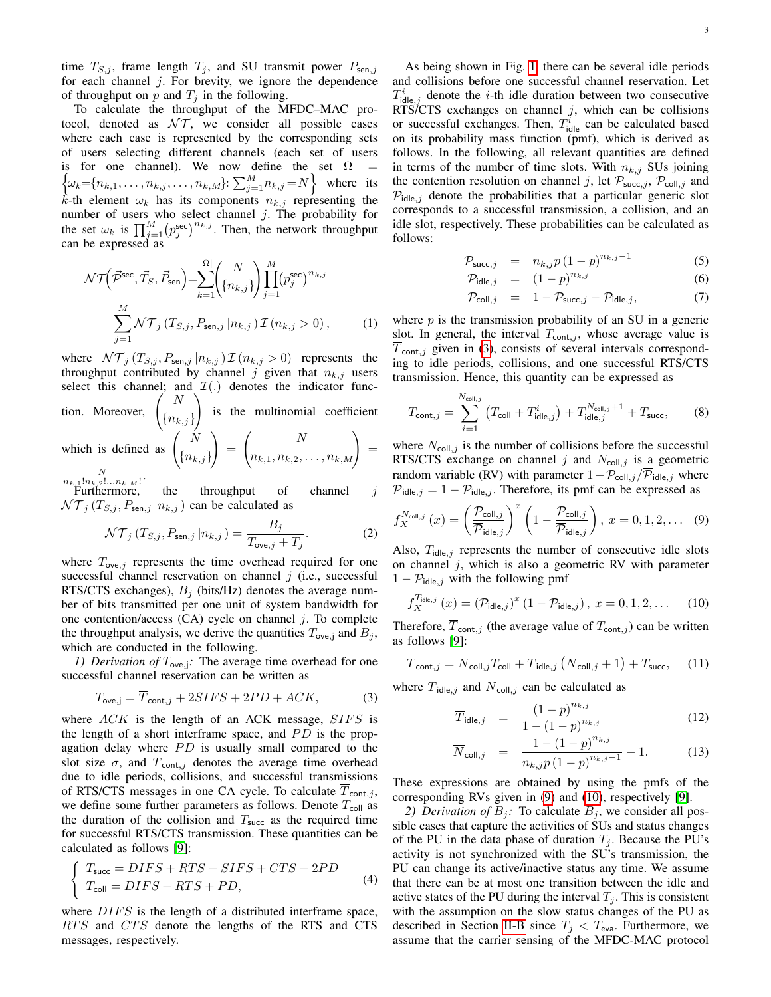time  $T_{S,j}$ , frame length  $T_j$ , and SU transmit power  $P_{\text{sen},j}$ for each channel  $j$ . For brevity, we ignore the dependence of throughput on p and  $T_i$  in the following.

To calculate the throughput of the MFDC–MAC protocol, denoted as  $\mathcal{NT}$ , we consider all possible cases where each case is represented by the corresponding sets of users selecting different channels (each set of users is for one channel). We now define the set  $\Omega =$  $\{\omega_k = \{n_{k,1}, \dots, n_{k,j}, \dots, n_{k,M}\}: \sum_{j=1}^{M} n_{k,j} = N\}$  where its k-th element  $\omega_k$  has its components  $n_{k,j}$  representing the number of users who select channel  $j$ . The probability for the set  $\omega_k$  is  $\prod_{j=1}^M (p_j^{\text{sec}})^{n_{k,j}}$ . Then, the network throughput can be expressed as

<span id="page-2-3"></span>
$$
\mathcal{NT}\left(\vec{\mathcal{P}}^{\text{sec}}, \vec{T}_S, \vec{P}_{\text{sen}}\right) = \sum_{k=1}^{|\Omega|} \binom{N}{\{n_{k,j}\}} \prod_{j=1}^{M} \left(p_j^{\text{sec}}\right)^{n_{k,j}}
$$

$$
\sum_{j=1}^{M} \mathcal{NT}_j \left(T_{S,j}, P_{\text{sen},j} | n_{k,j}\right) \mathcal{I}\left(n_{k,j} > 0\right), \tag{1}
$$

where  $\mathcal{NT}_j(T_{S,j}, P_{\text{sen},j} | n_{k,j}) \mathcal{I}(n_{k,j} > 0)$  represents the throughput contributed by channel j given that  $n_{k,j}$  users select this channel; and  $\mathcal{I}(\cdot)$  denotes the indicator function. Moreover,  $\begin{pmatrix} N \\ \{n_{k,j}\} \end{pmatrix}$ N  $\setminus$ is the multinomial coefficient which is defined as  $\begin{pmatrix} N \\ n \end{pmatrix}$  ${n_{k,j}}$  $\setminus$ =  $\binom{N}{n_{k,1}, n_{k,2}, \ldots, n_{k,M}} =$ 

 $\frac{N}{n_{k,1}!n_{k,2}!...n_{k,M}!}.$ Furthermore, the throughput of channel  $j$  $\mathcal{NT}_i(T_{S,i}, P_{\mathsf{sen},i} | n_{k,j})$  can be calculated as

$$
\mathcal{NT}_j(T_{S,j}, P_{\mathsf{sen},j} | n_{k,j}) = \frac{B_j}{T_{\mathsf{ove},j} + T_j}.\tag{2}
$$

where  $T_{\text{ove},j}$  represents the time overhead required for one successful channel reservation on channel  $j$  (i.e., successful RTS/CTS exchanges),  $B_i$  (bits/Hz) denotes the average number of bits transmitted per one unit of system bandwidth for one contention/access  $(CA)$  cycle on channel j. To complete the throughput analysis, we derive the quantities  $T_{\text{ove},j}$  and  $B_j$ , which are conducted in the following.

*1) Derivation of*  $T_{\text{ove},j}$ : The average time overhead for one successful channel reservation can be written as

<span id="page-2-0"></span>
$$
T_{\text{ove},j} = \overline{T}_{\text{cont},j} + 2SIFS + 2PD + ACK,\tag{3}
$$

where  $ACK$  is the length of an ACK message,  $SIFS$  is the length of a short interframe space, and  $PD$  is the propagation delay where  $PD$  is usually small compared to the slot size  $\sigma$ , and  $\overline{T}_{\text{cont},j}$  denotes the average time overhead due to idle periods, collisions, and successful transmissions of RTS/CTS messages in one CA cycle. To calculate  $\overline{T}_{\text{cont},j}$ , we define some further parameters as follows. Denote  $T_{\text{coll}}$  as the duration of the collision and  $T<sub>succ</sub>$  as the required time for successful RTS/CTS transmission. These quantities can be calculated as follows [\[9\]](#page-6-7):

$$
\begin{cases}\nT_{succ} = DIFS + RTS + SIFS + CTS + 2PD \\
T_{coll} = DIFS + RTS + PD,\n\end{cases} \tag{4}
$$

where  $DIFS$  is the length of a distributed interframe space, RTS and CTS denote the lengths of the RTS and CTS messages, respectively.

As being shown in Fig. [1,](#page-1-0) there can be several idle periods and collisions before one successful channel reservation. Let  $T_{\text{idle},j}^{i}$  denote the *i*-th idle duration between two consecutive RTS/CTS exchanges on channel  $j$ , which can be collisions or successful exchanges. Then,  $T_{\text{idle}}^i$  can be calculated based on its probability mass function (pmf), which is derived as follows. In the following, all relevant quantities are defined in terms of the number of time slots. With  $n_{k,j}$  SUs joining the contention resolution on channel j, let  $\mathcal{P}_{succ,j}$ ,  $\mathcal{P}_{coll,j}$  and  $P_{\text{idle},j}$  denote the probabilities that a particular generic slot corresponds to a successful transmission, a collision, and an idle slot, respectively. These probabilities can be calculated as follows:

$$
\mathcal{P}_{\text{succ},j} = n_{k,j} p (1-p)^{n_{k,j}-1} \tag{5}
$$

$$
\mathcal{P}_{\text{idle},j} = (1-p)^{n_{k,j}} \tag{6}
$$

$$
\mathcal{P}_{\text{coll},j} = 1 - \mathcal{P}_{\text{succ},j} - \mathcal{P}_{\text{idle},j}, \tag{7}
$$

where  $p$  is the transmission probability of an SU in a generic slot. In general, the interval  $T_{\text{cont},j}$ , whose average value is  $T_{\text{cont},j}$  given in [\(3\)](#page-2-0), consists of several intervals corresponding to idle periods, collisions, and one successful RTS/CTS transmission. Hence, this quantity can be expressed as

$$
T_{\text{cont},j} = \sum_{i=1}^{N_{\text{coll},j}} (T_{\text{coll}} + T_{\text{idle},j}^i) + T_{\text{idle},j}^{N_{\text{coll},j}+1} + T_{\text{succ}}, \tag{8}
$$

where  $N_{\text{coll},j}$  is the number of collisions before the successful RTS/CTS exchange on channel j and  $N_{\text{coll},j}$  is a geometric random variable (RV) with parameter  $1-\mathcal{P}_{\text{coll},j}/\mathcal{P}_{\text{idle},j}$  where  $\overline{\mathcal{P}}_{\text{idle},j} = 1 - \mathcal{P}_{\text{idle},j}$ . Therefore, its pmf can be expressed as

<span id="page-2-1"></span>
$$
f_X^{\mathcal{N}_{\text{coll},j}}\left(x\right) = \left(\frac{\mathcal{P}_{\text{coll},j}}{\overline{\mathcal{P}}_{\text{idle},j}}\right)^x \left(1 - \frac{\mathcal{P}_{\text{coll},j}}{\overline{\mathcal{P}}_{\text{idle},j}}\right), \ x = 0, 1, 2, \dots \tag{9}
$$

Also,  $T_{idle,j}$  represents the number of consecutive idle slots on channel  $j$ , which is also a geometric RV with parameter  $1 - P_{idle,j}$  with the following pmf

<span id="page-2-2"></span>
$$
f_X^{T_{\text{idle},j}}(x) = (\mathcal{P}_{\text{idle},j})^x (1 - \mathcal{P}_{\text{idle},j}), \ x = 0, 1, 2, \dots \quad (10)
$$

Therefore,  $\overline{T}_{\text{cont},j}$  (the average value of  $T_{\text{cont},j}$ ) can be written as follows [\[9\]](#page-6-7):

$$
\overline{T}_{\text{cont},j} = \overline{N}_{\text{coll},j} T_{\text{coll}} + \overline{T}_{\text{idle},j} \left( \overline{N}_{\text{coll},j} + 1 \right) + T_{\text{succ}}, \quad (11)
$$

where  $\overline{T}_{\text{idle},j}$  and  $\overline{N}_{\text{coll},j}$  can be calculated as

$$
\overline{T}_{\text{idle},j} = \frac{(1-p)^{n_{k,j}}}{1 - (1-p)^{n_{k,j}}}
$$
(12)

$$
\overline{N}_{\text{coll},j} = \frac{1 - (1 - p)^{n_{k,j}}}{n_{k,j}p(1 - p)^{n_{k,j} - 1}} - 1.
$$
 (13)

These expressions are obtained by using the pmfs of the corresponding RVs given in [\(9\)](#page-2-1) and [\(10\)](#page-2-2), respectively [\[9\]](#page-6-7).

*2) Derivation of*  $B_i$ : To calculate  $B_i$ , we consider all possible cases that capture the activities of SUs and status changes of the PU in the data phase of duration  $T_i$ . Because the PU's activity is not synchronized with the SU's transmission, the PU can change its active/inactive status any time. We assume that there can be at most one transition between the idle and active states of the PU during the interval  $T_j$ . This is consistent with the assumption on the slow status changes of the PU as described in Section [II-B](#page-1-1) since  $T_j < T_{\text{eva}}$ . Furthermore, we assume that the carrier sensing of the MFDC-MAC protocol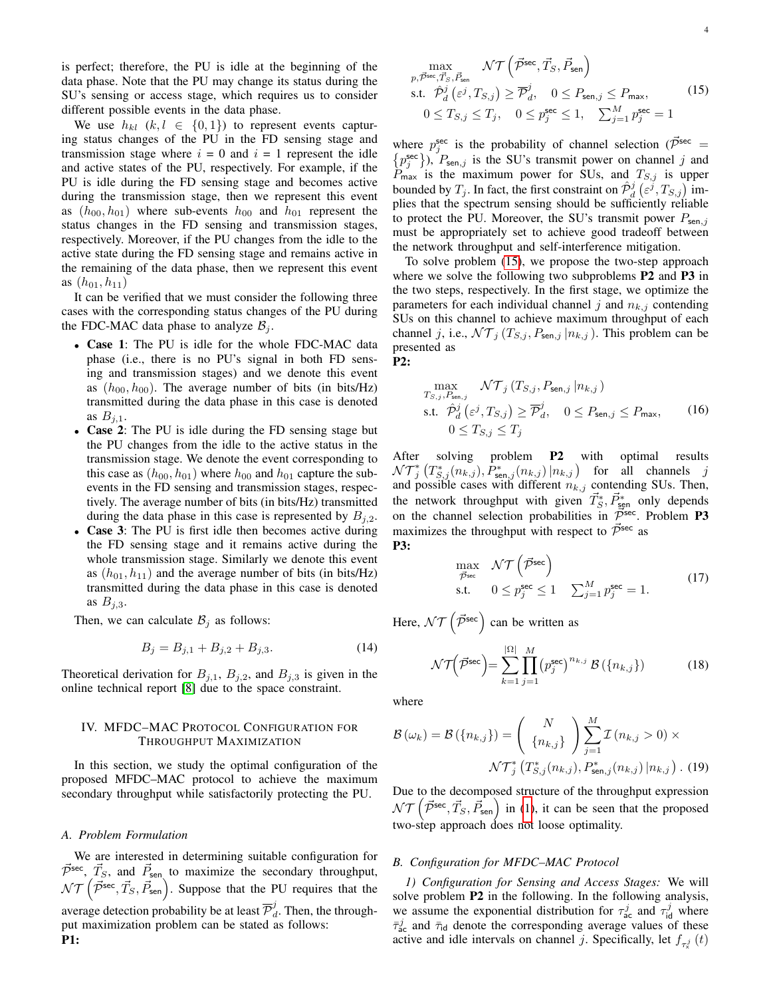is perfect; therefore, the PU is idle at the beginning of the data phase. Note that the PU may change its status during the SU's sensing or access stage, which requires us to consider different possible events in the data phase.

We use  $h_{kl}$   $(k, l \in \{0, 1\})$  to represent events capturing status changes of the PU in the FD sensing stage and transmission stage where  $i = 0$  and  $i = 1$  represent the idle and active states of the PU, respectively. For example, if the PU is idle during the FD sensing stage and becomes active during the transmission stage, then we represent this event as  $(h_{00}, h_{01})$  where sub-events  $h_{00}$  and  $h_{01}$  represent the status changes in the FD sensing and transmission stages, respectively. Moreover, if the PU changes from the idle to the active state during the FD sensing stage and remains active in the remaining of the data phase, then we represent this event as  $(h_{01}, h_{11})$ 

It can be verified that we must consider the following three cases with the corresponding status changes of the PU during the FDC-MAC data phase to analyze  $B_i$ .

- Case 1: The PU is idle for the whole FDC-MAC data phase (i.e., there is no PU's signal in both FD sensing and transmission stages) and we denote this event as  $(h_{00}, h_{00})$ . The average number of bits (in bits/Hz) transmitted during the data phase in this case is denoted as  $B_{i,1}$ .
- Case 2: The PU is idle during the FD sensing stage but the PU changes from the idle to the active status in the transmission stage. We denote the event corresponding to this case as  $(h_{00}, h_{01})$  where  $h_{00}$  and  $h_{01}$  capture the subevents in the FD sensing and transmission stages, respectively. The average number of bits (in bits/Hz) transmitted during the data phase in this case is represented by  $B_{i,2}$ .
- Case 3: The PU is first idle then becomes active during the FD sensing stage and it remains active during the whole transmission stage. Similarly we denote this event as  $(h_{01}, h_{11})$  and the average number of bits (in bits/Hz) transmitted during the data phase in this case is denoted as  $B_{j,3}$ .

Then, we can calculate  $\mathcal{B}_j$  as follows:

$$
B_j = B_{j,1} + B_{j,2} + B_{j,3}.
$$
 (14)

Theoretical derivation for  $B_{j,1}$ ,  $B_{j,2}$ , and  $B_{j,3}$  is given in the online technical report [\[8\]](#page-6-8) due to the space constraint.

# IV. MFDC–MAC PROTOCOL CONFIGURATION FOR THROUGHPUT MAXIMIZATION

In this section, we study the optimal configuration of the proposed MFDC–MAC protocol to achieve the maximum secondary throughput while satisfactorily protecting the PU.

### *A. Problem Formulation*

We are interested in determining suitable configuration for  $\vec{\mathcal{P}}^{\text{sec}}$ ,  $\vec{T}_S$ , and  $\vec{P}_{\text{sen}}$  to maximize the secondary throughput,  $\mathcal{NT}$   $(\vec{P}^{\text{sec}}, \vec{T}_S, \vec{P}_{\text{sen}})$ . Suppose that the PU requires that the average detection probability be at least  $\overline{\mathcal{P}}_{a}^{j}$  $d_d$ . Then, the throughput maximization problem can be stated as follows: P1:

$$
\max_{p,\vec{\mathcal{P}}^{\text{sec}},\vec{T}_S,\vec{P}_{\text{sen}}} \mathcal{N}\mathcal{T}\left(\vec{\mathcal{P}}^{\text{sec}},\vec{T}_S,\vec{P}_{\text{sen}}\right)
$$
\n
$$
\text{s.t. } \hat{\mathcal{P}}_d^j\left(\varepsilon^j, T_{S,j}\right) \ge \overline{\mathcal{P}}_d^j, \quad 0 \le P_{\text{sen},j} \le P_{\text{max}},
$$
\n
$$
0 \le T_{S,j} \le T_j, \quad 0 \le p_j^{\text{sec}} \le 1, \quad \sum_{j=1}^M p_j^{\text{sec}} = 1
$$
\n
$$
(15)
$$

where  $p_j^{\text{sec}}$  is the probability of channel selection ( $\vec{\mathcal{P}}^{\text{sec}}$  =  $\{p_j^{\text{sec}}\}\)$ ,  $P_{\text{sen},j}$  is the SU's transmit power on channel j and  $P_{\text{max}}$  is the maximum power for SUs, and  $T_{S,j}$  is upper bounded by  $T_j$ . In fact, the first constraint on  $\hat{\mathcal{P}}_d^j$   $(\varepsilon^j, T_{S,j})$  implies that the spectrum sensing should be sufficiently reliable to protect the PU. Moreover, the SU's transmit power  $P_{\text{sen},j}$ must be appropriately set to achieve good tradeoff between the network throughput and self-interference mitigation.

To solve problem [\(15\)](#page-3-0), we propose the two-step approach where we solve the following two subproblems **P2** and **P3** in the two steps, respectively. In the first stage, we optimize the parameters for each individual channel j and  $n_{k,j}$  contending SUs on this channel to achieve maximum throughput of each channel j, i.e.,  $\mathcal{NT}_j(T_{S,j}, P_{\mathsf{sen},j} | n_{k,j})$ . This problem can be presented as P2:

$$
\max_{T_{S,j}, P_{\text{sen},j}} \mathcal{NT}_j(T_{S,j}, P_{\text{sen},j} | n_{k,j})
$$
\ns.t.  $\hat{\mathcal{P}}_d^j(\varepsilon^j, T_{S,j}) \ge \overline{\mathcal{P}}_d^j, \quad 0 \le P_{\text{sen},j} \le P_{\text{max}},$  (16)  
\n $0 \le T_{S,j} \le T_j$ 

After solving problem **P2** with optimal results  $\mathcal{NT}_j^*\left(T^*_{S,j}(n_{k,j}), \hat{P}^*_{\mathsf{sen},j}(n_{k,j})\right)$  for all channels j and possible cases with different  $n_{k,j}$  contending SUs. Then, the network throughput with given  $\vec{T}_S^*, \vec{P}_{\text{gen}}^*$  only depends on the channel selection probabilities in  $\vec{P}^{sec}$ . Problem P3 maximizes the throughput with respect to  $\vec{\mathcal{P}}^{\text{sec}}$  as P3:

$$
\max_{\vec{\mathcal{P}}^{\text{sec}}} \mathcal{NT}\left(\vec{\mathcal{P}}^{\text{sec}}\right) \text{s.t.} \quad 0 \le p_j^{\text{sec}} \le 1 \quad \sum_{j=1}^{M} p_j^{\text{sec}} = 1.
$$
\n(17)

Here,  $\mathcal{NT}\left(\vec{\mathcal{P}}^{\text{sec}}\right)$  can be written as

$$
\mathcal{NT}\left(\vec{\mathcal{P}}^{\text{sec}}\right) = \sum_{k=1}^{|\Omega|} \prod_{j=1}^{M} \left(p_j^{\text{sec}}\right)^{n_{k,j}} \mathcal{B}\left(\{n_{k,j}\}\right) \tag{18}
$$

where

<span id="page-3-0"></span> $p,$ 

<span id="page-3-1"></span>
$$
\mathcal{B}\left(\omega_{k}\right) = \mathcal{B}\left(\left\{n_{k,j}\right\}\right) = \left(\begin{array}{c} N \\ \left\{n_{k,j}\right\} \end{array}\right) \sum_{j=1}^{M} \mathcal{I}\left(n_{k,j} > 0\right) \times \mathcal{NT}_{j}^{*}\left(T_{S,j}^{*}\left(n_{k,j}\right), P_{\text{sen},j}^{*}\left(n_{k,j}\right) | n_{k,j}\right). (19)
$$

Due to the decomposed structure of the throughput expression  $NT(\vec{P}^{sec}, \vec{T}_S, \vec{P}_{sen})$  in [\(1\)](#page-2-3), it can be seen that the proposed two-step approach does not loose optimality.

#### *B. Configuration for MFDC–MAC Protocol*

*1) Configuration for Sensing and Access Stages:* We will solve problem **P2** in the following. In the following analysis, we assume the exponential distribution for  $\tau_{ac}^j$  and  $\tau_{id}^j$  where  $\bar{\tau}_{ac}^{j}$  and  $\bar{\tau}_{id}$  denote the corresponding average values of these active and idle intervals on channel j. Specifically, let  $f_{\tau_{\mathbf{x}}^{j}}(t)$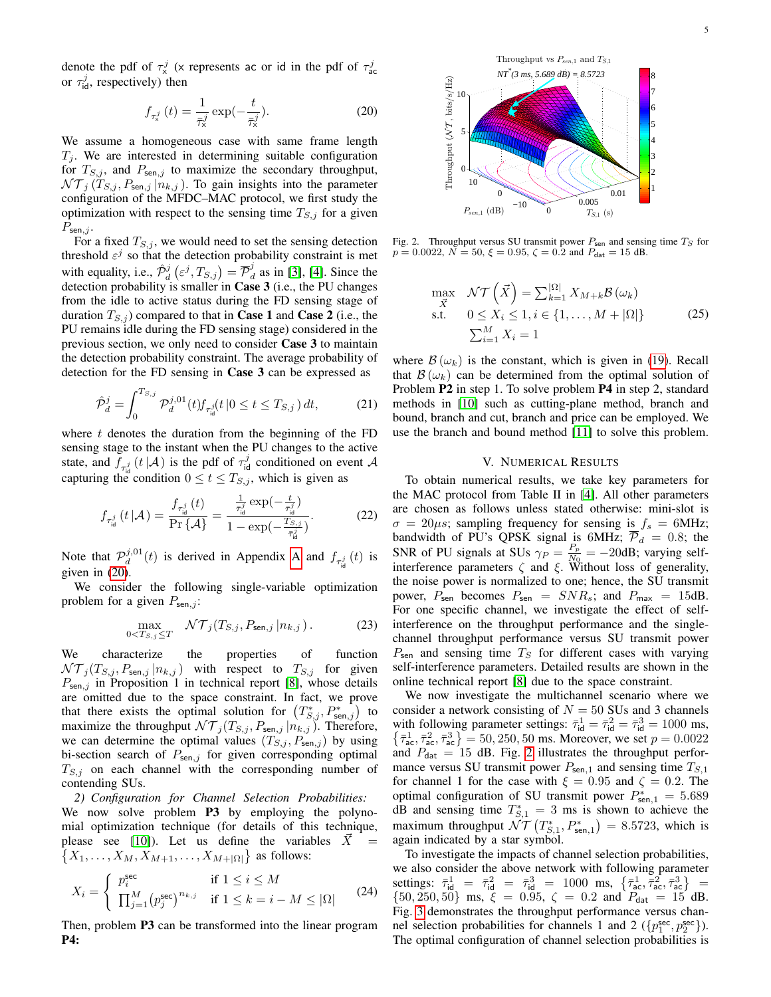denote the pdf of  $\tau_{\mathsf{x}}^j$  (x represents ac or id in the pdf of  $\tau_{\mathsf{ac}}^j$ or  $\tau_{\text{id}}^j$ , respectively) then

<span id="page-4-0"></span>
$$
f_{\tau_{\mathsf{x}}^{j}}\left(t\right) = \frac{1}{\bar{\tau}_{\mathsf{x}}^{j}} \exp\left(-\frac{t}{\bar{\tau}_{\mathsf{x}}^{j}}\right). \tag{20}
$$

We assume a homogeneous case with same frame length  $T_i$ . We are interested in determining suitable configuration for  $T_{S,j}$ , and  $P_{\text{sen},j}$  to maximize the secondary throughput,  $\mathcal{NT}_j(T_{S,j}, P_{\mathsf{sen},j} | n_{k,j}).$  To gain insights into the parameter configuration of the MFDC–MAC protocol, we first study the optimization with respect to the sensing time  $T_{S,j}$  for a given  $P_{\mathsf{sen},j}$ .

For a fixed  $T_{S,j}$ , we would need to set the sensing detection threshold  $\varepsilon^j$  so that the detection probability constraint is met with equality, i.e.,  $\hat{\mathcal{P}}_d^j\left(\varepsilon^j, T_{S,j}\right) = \overline{\mathcal{P}}_d^j$  $d_d$  as in [\[3\]](#page-6-2), [\[4\]](#page-6-3). Since the detection probability is smaller in Case 3 (i.e., the PU changes from the idle to active status during the FD sensing stage of duration  $T_{S,i}$ ) compared to that in **Case 1** and **Case 2** (i.e., the PU remains idle during the FD sensing stage) considered in the previous section, we only need to consider Case 3 to maintain the detection probability constraint. The average probability of detection for the FD sensing in Case 3 can be expressed as

$$
\hat{\mathcal{P}}_d^j = \int_0^{T_{S,j}} \mathcal{P}_d^{j,01}(t) f_{\tau_{\text{id}}^j}(t \, | 0 \le t \le T_{S,j}) \, dt,\tag{21}
$$

where  $t$  denotes the duration from the beginning of the FD sensing stage to the instant when the PU changes to the active state, and  $\tilde{f}_{\tau_{\text{rel}}^j}(t|\mathcal{A})$  is the pdf of  $\tau_{\text{id}}^j$  conditioned on event  $\mathcal{A}$ capturing the condition  $0 \le t \le T_{S,j}$ , which is given as

$$
f_{\tau_{\text{id}}^{j}}\left(t\left|\mathcal{A}\right.\right) = \frac{f_{\tau_{\text{id}}^{j}}\left(t\right)}{\Pr\left\{\mathcal{A}\right\}} = \frac{\frac{1}{\bar{\tau}_{\text{id}}^{j}}\exp\left(-\frac{t}{\bar{\tau}_{\text{id}}^{j}}\right)}{1 - \exp\left(-\frac{T_{S,j}}{\bar{\tau}_{\text{id}}^{j}}\right)}.\tag{22}
$$

Note that  $\mathcal{P}_d^{j,01}(t)$  is derived in [A](#page-6-9)ppendix A and  $f_{\tau_{id}^j}(t)$  is given in [\(20\)](#page-4-0).

We consider the following single-variable optimization problem for a given  $P_{\text{sen},j}$ :

$$
\max_{0 < T_{S,j} \le T} \quad \mathcal{NT}_j(T_{S,j}, P_{\mathsf{sen},j} \, | n_{k,j}) \,. \tag{23}
$$

We characterize the properties of function  $\mathcal{NT}_j(T_{S,j}, P_{\mathsf{sen},j} | n_{k,j})$  with respect to  $T_{S,j}$  for given  $P_{\text{sen},j}$  in Proposition 1 in technical report [\[8\]](#page-6-8), whose details are omitted due to the space constraint. In fact, we prove that there exists the optimal solution for  $(T^*_{S,j}, P^*_{\text{sen},j})$  to maximize the throughput  $\mathcal{NT}_j(T_{S,j}, P_{\mathsf{sen},j} | n_{k,j})$ . Therefore, we can determine the optimal values  $(T_{S,j}, P_{\text{sen},j})$  by using bi-section search of  $P_{\text{sen},j}$  for given corresponding optimal  $T_{S,j}$  on each channel with the corresponding number of contending SUs.

*2) Configuration for Channel Selection Probabilities:* We now solve problem **P3** by employing the polynomial optimization technique (for details of this technique, please see [\[10\]](#page-6-10)). Let us define the variables  $\vec{X}$  =  $\{X_1, \ldots, X_M, X_{M+1}, \ldots, X_{M+|\Omega|}\}\$ as follows:

$$
X_i = \begin{cases} p_i^{\text{sec}} & \text{if } 1 \le i \le M \\ \prod_{j=1}^M (p_j^{\text{sec}})^{n_{k,j}} & \text{if } 1 \le k = i - M \le |\Omega| \end{cases}
$$
 (24)

Then, problem **P3** can be transformed into the linear program P4:



Fig. 2. Throughput versus SU transmit power  $P_{\text{sen}}$  and sensing time  $T_S$  for  $p = 0.0022$ ,  $N = 50$ ,  $\xi = 0.95$ ,  $\zeta = 0.2$  and  $P_{\text{dat}} = 15$  dB.

<span id="page-4-1"></span>
$$
\max_{\vec{X}} \quad \mathcal{NT}\left(\vec{X}\right) = \sum_{k=1}^{|\Omega|} X_{M+k} \mathcal{B}\left(\omega_k\right)
$$
\n
$$
\text{s.t.} \quad 0 \le X_i \le 1, i \in \{1, \dots, M + |\Omega|\} \tag{25}
$$
\n
$$
\sum_{i=1}^{M} X_i = 1
$$

where  $\mathcal{B}(\omega_k)$  is the constant, which is given in [\(19\)](#page-3-1). Recall that  $\mathcal{B}(\omega_k)$  can be determined from the optimal solution of Problem P2 in step 1. To solve problem P4 in step 2, standard methods in [\[10\]](#page-6-10) such as cutting-plane method, branch and bound, branch and cut, branch and price can be employed. We use the branch and bound method [\[11\]](#page-6-11) to solve this problem.

## V. NUMERICAL RESULTS

To obtain numerical results, we take key parameters for the MAC protocol from Table II in [\[4\]](#page-6-3). All other parameters are chosen as follows unless stated otherwise: mini-slot is  $\sigma = 20\mu s$ ; sampling frequency for sensing is  $f_s = 6$ MHz; bandwidth of PU's QPSK signal is 6MHz;  $\mathcal{P}_d = 0.8$ ; the SNR of PU signals at SUs  $\gamma_P = \frac{P_p}{N_0}$  $\frac{P_p}{N_0} = -20$ dB; varying selfinterference parameters  $\zeta$  and  $\xi$ . Without loss of generality, the noise power is normalized to one; hence, the SU transmit power,  $P_{\text{sen}}$  becomes  $P_{\text{sen}} = SNR_s$ ; and  $P_{\text{max}} = 15dB$ . For one specific channel, we investigate the effect of selfinterference on the throughput performance and the singlechannel throughput performance versus SU transmit power  $P_{\text{sen}}$  and sensing time  $T_S$  for different cases with varying self-interference parameters. Detailed results are shown in the online technical report [\[8\]](#page-6-8) due to the space constraint.

We now investigate the multichannel scenario where we consider a network consisting of  $N = 50$  SUs and 3 channels with following parameter settings:  $\bar{\tau}^1_{\text{id}} = \bar{\tau}^2_{\text{id}} = \bar{\tau}^3_{\text{id}} = 1000 \text{ ms}$ ,  $\{\bar{\tau}_{ac}^1, \bar{\tau}_{ac}^2, \bar{\tau}_{ac}^3\} = 50, 250, 50$  ms. Moreover, we set  $p = 0.0022$ and  $P_{\text{dat}} = 15$  dB. Fig. [2](#page-4-1) illustrates the throughput performance versus SU transmit power  $P_{\text{sen},1}$  and sensing time  $T_{S,1}$ for channel 1 for the case with  $\xi = 0.95$  and  $\zeta = 0.2$ . The optimal configuration of SU transmit power  $P_{\text{sen},1}^{*} = 5.689$ dB and sensing time  $T_{S,1}^* = 3$  ms is shown to achieve the maximum throughput  $\mathcal{NT}\left(T^*_{S,1}, P^*_{\mathsf{sen},1}\right) = 8.5723$ , which is again indicated by a star symbol.

To investigate the impacts of channel selection probabilities, we also consider the above network with following parameter settings:  $\bar{\tau}_{id}^1 = \bar{\tau}_{id}^2 = \bar{\tau}_{id}^3 = 1000 \text{ ms}, \{\bar{\tau}_{ac}^1, \bar{\tau}_{ac}^2, \bar{\tau}_{ac}^3\} =$  ${50, 250, 50}$  ms,  $\xi = 0.95$ ,  $\zeta = 0.2$  and  $P_{\text{dat}} = 15$  dB. Fig. [3](#page-5-0) demonstrates the throughput performance versus channel selection probabilities for channels 1 and 2 ( $\{p_1^{\text{sec}}, p_2^{\text{sec}}\}$ ). The optimal configuration of channel selection probabilities is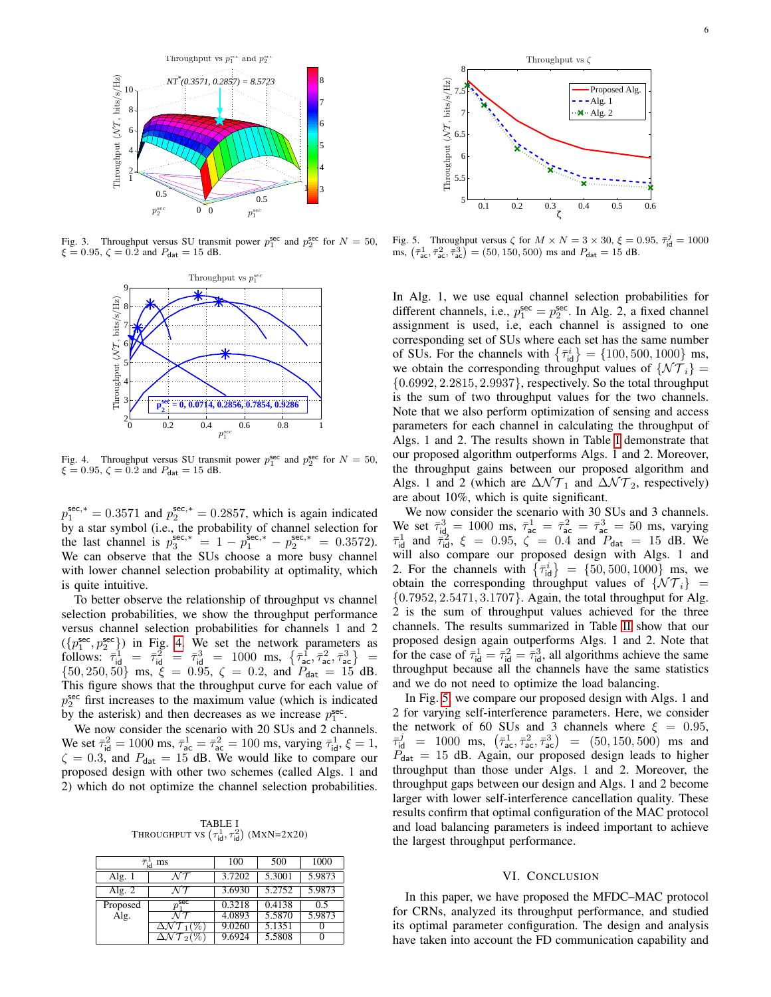

Fig. 3. Throughput versus SU transmit power  $p_1^{\text{sec}}$  and  $p_2^{\text{sec}}$  for  $N = 50$ ,  $\xi = 0.95$ ,  $\zeta = 0.2$  and  $P_{\text{dat}} = 15$  dB.



Fig. 4. Throughput versus SU transmit power  $p_1^{\text{sec}}$  and  $p_2^{\text{sec}}$  for  $N = 50$ ,  $\xi = 0.95$ ,  $\zeta = 0.2$  and  $P_{\text{dat}} = 15$  dB.

 $p_1^{\text{sec,*}} = 0.3571$  and  $p_2^{\text{sec,*}} = 0.2857$ , which is again indicated by a star symbol (i.e., the probability of channel selection for the last channel is  $p_3^{\text{sec},*} = 1 - p_1^{\text{sec},*} - p_2^{\text{sec},*} = 0.3572$ . We can observe that the SUs choose a more busy channel with lower channel selection probability at optimality, which is quite intuitive.

To better observe the relationship of throughput vs channel selection probabilities, we show the throughput performance versus channel selection probabilities for channels 1 and 2  $({p_1^{\text{sec}}}, p_2^{\text{sec}})$  in Fig. [4.](#page-5-1) We set the network parameters as follows:  $\bar{\tau}_{\text{id}}^1 = \bar{\tau}_{\text{id}}^2 = \bar{\tau}_{\text{id}}^3 = 1000 \text{ ms}, \{\bar{\tau}_{\text{ac}}^1, \bar{\tau}_{\text{ac}}^2, \bar{\tau}_{\text{ac}}^3\} =$  ${50, 250, 50}$  ms,  $\xi = 0.95, \zeta = 0.2$ , and  $P_{\text{dat}} = 15$  dB. This figure shows that the throughput curve for each value of  $p_2^{\text{sec}}$  first increases to the maximum value (which is indicated by the asterisk) and then decreases as we increase  $p_1^{\text{sec}}$ .

We now consider the scenario with 20 SUs and 2 channels. We set  $\bar{\tau}_{\text{id}}^2 = 1000 \text{ ms}, \bar{\tau}_{\text{ac}}^1 = \bar{\tau}_{\text{ac}}^2 = 100 \text{ ms}, \text{varying } \bar{\tau}_{\text{id}}^1, \xi = 1,$  $\zeta = 0.3$ , and  $P_{\text{dat}} = 15$  dB. We would like to compare our proposed design with other two schemes (called Algs. 1 and 2) which do not optimize the channel selection probabilities.

**THROUGHPUT VS**  $(\tau^1_{\text{id}}, \tau^2_{\text{id}})$  (MXN=2x20)

<span id="page-5-2"></span>

| ms       |     | 100    | 500    | 1000   |
|----------|-----|--------|--------|--------|
| Alg. 1   |     | 3.7202 | 5.3001 | 5.9873 |
| Alg. $2$ |     | 3.6930 | 5.2752 | 5.9873 |
| Proposed | sec | 0.3218 | 0.4138 | 0.5    |
| Alg.     |     | 4.0893 | 5.5870 | 5.9873 |
|          |     | 9.0260 | 5.1351 |        |
|          |     | 9.6924 | 5.5808 |        |



<span id="page-5-3"></span><span id="page-5-0"></span>Fig. 5. Throughput versus  $\zeta$  for  $M \times N = 3 \times 30$ ,  $\xi = 0.95$ ,  $\bar{\tau}_{\text{id}}^j = 1000$  ms,  $(\bar{\tau}_{\text{ac}}^1, \bar{\tau}_{\text{ac}}^2, \bar{\tau}_{\text{ac}}^3) = (50, 150, 500)$  ms and  $P_{\text{dat}} = 15$  dB.

In Alg. 1, we use equal channel selection probabilities for different channels, i.e.,  $p_1^{\text{sec}} = p_2^{\text{sec}}$ . In Alg. 2, a fixed channel assignment is used, i.e, each channel is assigned to one corresponding set of SUs where each set has the same number of SUs. For the channels with  $\{\bar{\tau}_{\text{id}}^i\} = \{100, 500, 1000\}$  ms, we obtain the corresponding throughput values of  $\{\mathcal{NT}_i\}$  = {0.6992, 2.2815, 2.9937}, respectively. So the total throughput is the sum of two throughput values for the two channels. Note that we also perform optimization of sensing and access parameters for each channel in calculating the throughput of Algs. 1 and 2. The results shown in Table [I](#page-5-2) demonstrate that our proposed algorithm outperforms Algs. 1 and 2. Moreover, the throughput gains between our proposed algorithm and Algs. 1 and 2 (which are  $\Delta \mathcal{NT}_1$  and  $\Delta \mathcal{NT}_2$ , respectively) are about 10%, which is quite significant.

<span id="page-5-1"></span>We now consider the scenario with 30 SUs and 3 channels. We set  $\bar{\tau}_{\text{id}}^3 = 1000 \text{ ms}, \ \bar{\tau}_{\text{ac}}^1 = \bar{\tau}_{\text{ac}}^2 = \bar{\tau}_{\text{ac}}^3 = 50 \text{ ms}, \ \text{varying}$  $\bar{\tau}_{\text{id}}^1$  and  $\bar{\tau}_{\text{id}}^2$ ,  $\xi = 0.95$ ,  $\zeta = 0.4$  and  $P_{\text{dat}} = 15$  dB. We will also compare our proposed design with Algs. 1 and 2. For the channels with  $\{\bar{\tau}_{id}^i\} = \{50, 500, 1000\}$  ms, we obtain the corresponding throughput values of  $\{NT_i\}$  = {0.7952, 2.5471, 3.1707}. Again, the total throughput for Alg. 2 is the sum of throughput values achieved for the three channels. The results summarized in Table [II](#page-6-12) show that our proposed design again outperforms Algs. 1 and 2. Note that for the case of  $\bar{\tau}_{\text{id}}^1 = \bar{\tau}_{\text{id}}^2 = \bar{\tau}_{\text{id}}^3$ , all algorithms achieve the same throughput because all the channels have the same statistics and we do not need to optimize the load balancing.

In Fig. [5,](#page-5-3) we compare our proposed design with Algs. 1 and 2 for varying self-interference parameters. Here, we consider the network of 60 SUs and 3 channels where  $\xi = 0.95$ ,  $\bar{\tau}_{\text{id}}^j$  = 1000 ms,  $(\bar{\tau}_{\text{ac}}^1, \bar{\tau}_{\text{ac}}^2, \bar{\tau}_{\text{ac}}^3)$  =  $(50, 150, 500)$  ms and  $P_{\text{dat}} = 15$  dB. Again, our proposed design leads to higher throughput than those under Algs. 1 and 2. Moreover, the throughput gaps between our design and Algs. 1 and 2 become larger with lower self-interference cancellation quality. These results confirm that optimal configuration of the MAC protocol and load balancing parameters is indeed important to achieve the largest throughput performance.

#### VI. CONCLUSION

In this paper, we have proposed the MFDC–MAC protocol for CRNs, analyzed its throughput performance, and studied its optimal parameter configuration. The design and analysis have taken into account the FD communication capability and